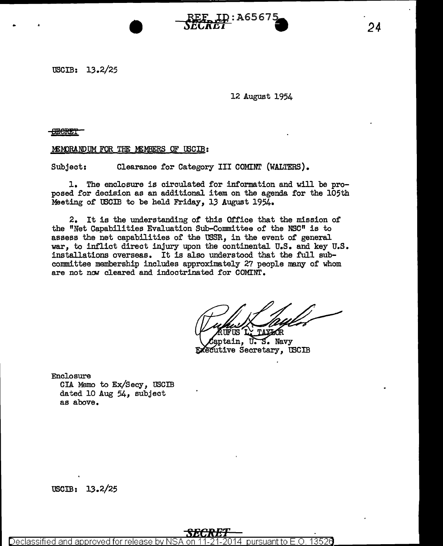## 12 August 1954

**..C.Lll.LH** •

8ESRE'i'

## MEMORANDUM FOR THE MEMBERS OF USCIB:

 $\frac{\text{N}}{\text{D}}$ .

Subject: Clearance for Category III COMINT (WALTERS).

1. The enclosure is circulated for information and will be proposed for decision as an additional item on the agenda. for the 105th Meeting of USCIB to be held Friday, 13 August 1954.

2. It is the understanding of this Office that the mission of the "Net Capabilities Evaluation Sub-Committee of the NSC" is to assess the net capabilities of the USSR, in the event of general war, to inflict direct injury upon the continental U.S. and key U.S. installations overseas. It is also understood that the full subcommittee membership includes approximately 27 people many of whom are not now cleared and indoctrinated for COMINT.

ptain. U.S. Navy **Executive Secretary, USCIB** 

Enclosure CIA Memo to Ex/Secy, USCIB dated 10 Aug 54, subject as above.

USCIB: 13.2/25

Declassified and approved for releas ursuantto E .0. 1352